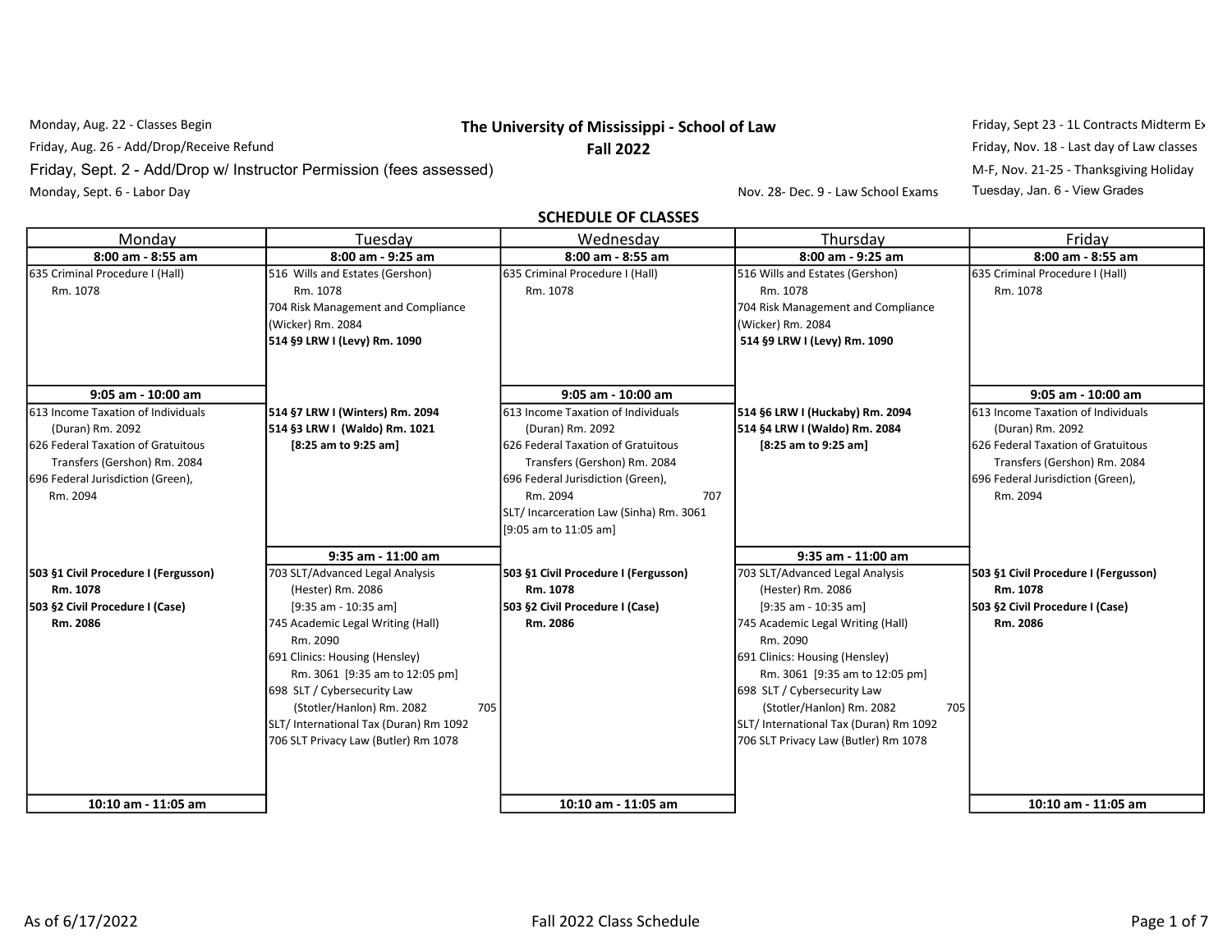## Monday, Aug. 22 - Classes Begin **The University of Mississippi - School of Law** Friday, Sept 23 - 1L Contracts Midterm Exam (1:10 pm)

Friday, Aug. 26 - Add/Drop/Receive Refund **Fall 2022** Fall 2022 Fall 2022 Friday, Nov. 18 - Last day of Law classes Monday, Sept. 6 - Labor Day Nov. 28- Dec. 9 - Law School Exams Tuesday, Jan. 6 - View Grades

Friday, Sept. 2 - Add/Drop w/ Instructor Permission (fees assessed) M-F, Nov. 21-25 - Thanksgiving Holiday

SCHEDULE OF CLASSES

| Monday                                                                                                                                                                         | Tuesday                                                                                                                                                                                                                                                                                                                                                  | Wednesday                                                                                                                                                                                                                                                        | Thursday                                                                                                                                                                                                                                                                                                                                               | Friday                                                                                                                                                                         |
|--------------------------------------------------------------------------------------------------------------------------------------------------------------------------------|----------------------------------------------------------------------------------------------------------------------------------------------------------------------------------------------------------------------------------------------------------------------------------------------------------------------------------------------------------|------------------------------------------------------------------------------------------------------------------------------------------------------------------------------------------------------------------------------------------------------------------|--------------------------------------------------------------------------------------------------------------------------------------------------------------------------------------------------------------------------------------------------------------------------------------------------------------------------------------------------------|--------------------------------------------------------------------------------------------------------------------------------------------------------------------------------|
| 8:00 am - 8:55 am                                                                                                                                                              | 8:00 am - 9:25 am                                                                                                                                                                                                                                                                                                                                        | 8:00 am - 8:55 am                                                                                                                                                                                                                                                | 8:00 am - 9:25 am                                                                                                                                                                                                                                                                                                                                      | 8:00 am - 8:55 am                                                                                                                                                              |
| 635 Criminal Procedure I (Hall)<br>Rm. 1078                                                                                                                                    | 516 Wills and Estates (Gershon)<br>Rm. 1078<br>704 Risk Management and Compliance<br>(Wicker) Rm. 2084<br>514 §9 LRW I (Levy) Rm. 1090                                                                                                                                                                                                                   | 635 Criminal Procedure I (Hall)<br>Rm. 1078                                                                                                                                                                                                                      | 516 Wills and Estates (Gershon)<br>Rm. 1078<br>704 Risk Management and Compliance<br>(Wicker) Rm. 2084<br>514 §9 LRW I (Levy) Rm. 1090                                                                                                                                                                                                                 | 635 Criminal Procedure I (Hall)<br>Rm. 1078                                                                                                                                    |
| 9:05 am - 10:00 am                                                                                                                                                             |                                                                                                                                                                                                                                                                                                                                                          | 9:05 am - 10:00 am                                                                                                                                                                                                                                               |                                                                                                                                                                                                                                                                                                                                                        | 9:05 am - 10:00 am                                                                                                                                                             |
| 613 Income Taxation of Individuals<br>(Duran) Rm. 2092<br>1626 Federal Taxation of Gratuitous<br>Transfers (Gershon) Rm. 2084<br>696 Federal Jurisdiction (Green),<br>Rm. 2094 | 514 §7 LRW I (Winters) Rm. 2094<br>514 §3 LRW I (Waldo) Rm. 1021<br>[8:25 am to 9:25 am]                                                                                                                                                                                                                                                                 | 613 Income Taxation of Individuals<br>(Duran) Rm. 2092<br><b>1626 Federal Taxation of Gratuitous</b><br>Transfers (Gershon) Rm. 2084<br>696 Federal Jurisdiction (Green),<br>Rm. 2094<br>707<br>SLT/ Incarceration Law (Sinha) Rm. 3061<br>[9:05 am to 11:05 am] | 514 §6 LRW I (Huckaby) Rm. 2094<br>514 §4 LRW I (Waldo) Rm. 2084<br>[8:25 am to 9:25 am]                                                                                                                                                                                                                                                               | 1613 Income Taxation of Individuals<br>(Duran) Rm. 2092<br>626 Federal Taxation of Gratuitous<br>Transfers (Gershon) Rm. 2084<br>696 Federal Jurisdiction (Green),<br>Rm. 2094 |
|                                                                                                                                                                                | 9:35 am - 11:00 am                                                                                                                                                                                                                                                                                                                                       |                                                                                                                                                                                                                                                                  | 9:35 am - 11:00 am                                                                                                                                                                                                                                                                                                                                     |                                                                                                                                                                                |
| 503 §1 Civil Procedure I (Fergusson)<br>Rm. 1078<br>503 §2 Civil Procedure I (Case)<br>Rm. 2086                                                                                | 703 SLT/Advanced Legal Analysis<br>(Hester) Rm. 2086<br>$[9:35$ am - 10:35 am]<br>745 Academic Legal Writing (Hall)<br>Rm. 2090<br>691 Clinics: Housing (Hensley)<br>Rm. 3061 [9:35 am to 12:05 pm]<br>698 SLT / Cybersecurity Law<br>(Stotler/Hanlon) Rm. 2082<br>705<br>SLT/ International Tax (Duran) Rm 1092<br>706 SLT Privacy Law (Butler) Rm 1078 | 503 §1 Civil Procedure I (Fergusson)<br>Rm. 1078<br>503 §2 Civil Procedure I (Case)<br>Rm. 2086                                                                                                                                                                  | 703 SLT/Advanced Legal Analysis<br>(Hester) Rm. 2086<br>[9:35 am - 10:35 am]<br>745 Academic Legal Writing (Hall)<br>Rm. 2090<br>691 Clinics: Housing (Hensley)<br>Rm. 3061 [9:35 am to 12:05 pm]<br>698 SLT / Cybersecurity Law<br>(Stotler/Hanlon) Rm. 2082<br>705<br>SLT/ International Tax (Duran) Rm 1092<br>706 SLT Privacy Law (Butler) Rm 1078 | 503 §1 Civil Procedure I (Fergusson)<br>Rm. 1078<br>503 §2 Civil Procedure I (Case)<br>Rm. 2086                                                                                |
| 10:10 am - 11:05 am                                                                                                                                                            |                                                                                                                                                                                                                                                                                                                                                          | 10:10 am - 11:05 am                                                                                                                                                                                                                                              |                                                                                                                                                                                                                                                                                                                                                        | 10:10 am - 11:05 am                                                                                                                                                            |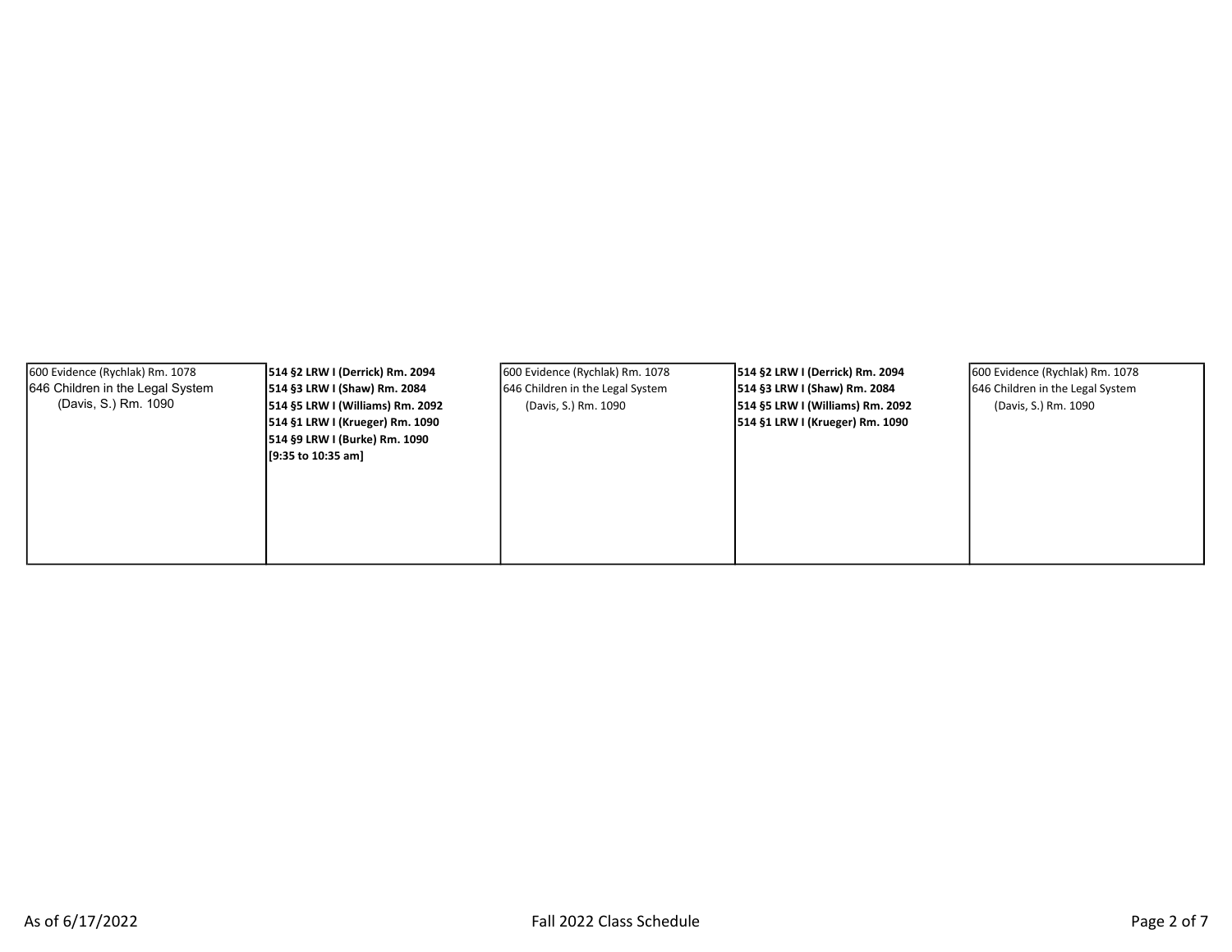| 600 Evidence (Rychlak) Rm. 1078<br>646 Children in the Legal System<br>(Davis, S.) Rm. 1090 | 514 §2 LRW I (Derrick) Rm. 2094<br>514 §3 LRW I (Shaw) Rm. 2084<br>514 §5 LRW I (Williams) Rm. 2092<br>514 §1 LRW I (Krueger) Rm. 1090<br>514 §9 LRW I (Burke) Rm. 1090<br>[9:35 to 10:35 am] | 600 Evidence (Rychlak) Rm. 1078<br>646 Children in the Legal System<br>(Davis, S.) Rm. 1090 | 514 §2 LRW I (Derrick) Rm. 2094<br>514 §3 LRW I (Shaw) Rm. 2084<br>514 §5 LRW I (Williams) Rm. 2092<br>514 §1 LRW I (Krueger) Rm. 1090 | 600 Evidence (Rychlak) Rm. 1078<br>646 Children in the Legal System<br>(Davis, S.) Rm. 1090 |  |
|---------------------------------------------------------------------------------------------|-----------------------------------------------------------------------------------------------------------------------------------------------------------------------------------------------|---------------------------------------------------------------------------------------------|----------------------------------------------------------------------------------------------------------------------------------------|---------------------------------------------------------------------------------------------|--|
|---------------------------------------------------------------------------------------------|-----------------------------------------------------------------------------------------------------------------------------------------------------------------------------------------------|---------------------------------------------------------------------------------------------|----------------------------------------------------------------------------------------------------------------------------------------|---------------------------------------------------------------------------------------------|--|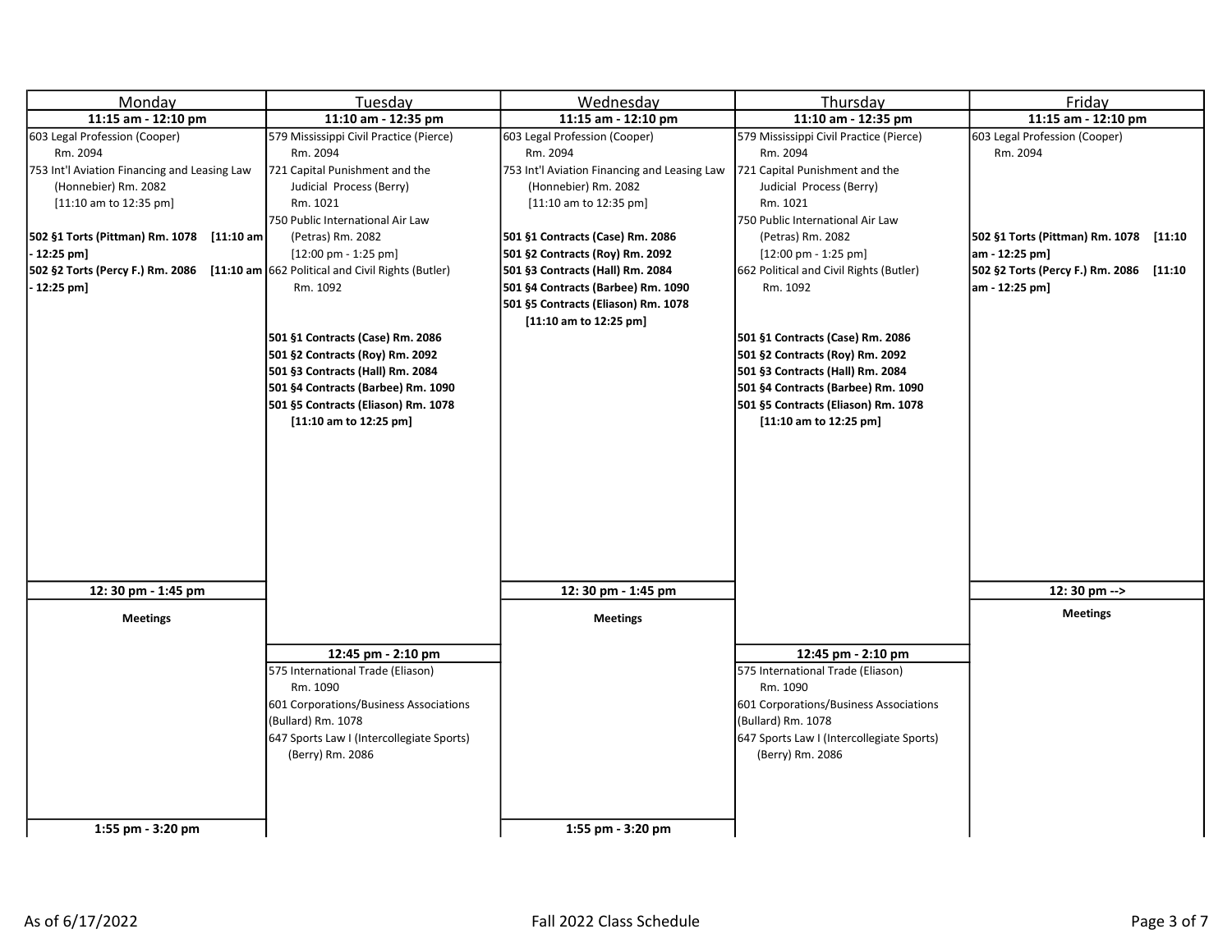| Monday                                                                             | Tuesday                                   | Wednesday                                    | Thursday                                  | Friday                                  |
|------------------------------------------------------------------------------------|-------------------------------------------|----------------------------------------------|-------------------------------------------|-----------------------------------------|
| 11:15 am - 12:10 pm                                                                | 11:10 am - 12:35 pm                       | 11:15 am - 12:10 pm                          | 11:10 am - 12:35 pm                       | 11:15 am - 12:10 pm                     |
| 603 Legal Profession (Cooper)                                                      | 579 Mississippi Civil Practice (Pierce)   | 603 Legal Profession (Cooper)                | 579 Mississippi Civil Practice (Pierce)   | 603 Legal Profession (Cooper)           |
| Rm. 2094                                                                           | Rm. 2094                                  | Rm. 2094                                     | Rm. 2094                                  | Rm. 2094                                |
| 753 Int'l Aviation Financing and Leasing Law                                       | 721 Capital Punishment and the            | 753 Int'l Aviation Financing and Leasing Law | 721 Capital Punishment and the            |                                         |
| (Honnebier) Rm. 2082                                                               | Judicial Process (Berry)                  | (Honnebier) Rm. 2082                         | Judicial Process (Berry)                  |                                         |
| $[11:10$ am to 12:35 pm]                                                           | Rm. 1021                                  | $[11:10$ am to 12:35 pm]                     | Rm. 1021                                  |                                         |
|                                                                                    | 750 Public International Air Law          |                                              | 750 Public International Air Law          |                                         |
| 502 §1 Torts (Pittman) Rm. 1078 [11:10 am                                          | (Petras) Rm. 2082                         | 501 §1 Contracts (Case) Rm. 2086             | (Petras) Rm. 2082                         | 502 §1 Torts (Pittman) Rm. 1078 [11:10  |
| $-12:25$ pm]                                                                       | $[12:00$ pm - 1:25 pm]                    | 501 §2 Contracts (Roy) Rm. 2092              | $[12:00 \text{ pm} - 1:25 \text{ pm}]$    | am - 12:25 pm]                          |
| 502 §2 Torts (Percy F.) Rm. 2086 [11:10 am 662 Political and Civil Rights (Butler) |                                           | 501 §3 Contracts (Hall) Rm. 2084             | 662 Political and Civil Rights (Butler)   | 502 §2 Torts (Percy F.) Rm. 2086 [11:10 |
| $-12:25$ pm]                                                                       | Rm. 1092                                  | 501 §4 Contracts (Barbee) Rm. 1090           | Rm. 1092                                  | am - 12:25 pm]                          |
|                                                                                    |                                           | 501 §5 Contracts (Eliason) Rm. 1078          |                                           |                                         |
|                                                                                    |                                           | $[11:10$ am to 12:25 pm]                     |                                           |                                         |
|                                                                                    | 501 §1 Contracts (Case) Rm. 2086          |                                              | 501 §1 Contracts (Case) Rm. 2086          |                                         |
|                                                                                    | 501 §2 Contracts (Roy) Rm. 2092           |                                              | 501 §2 Contracts (Roy) Rm. 2092           |                                         |
|                                                                                    | 501 §3 Contracts (Hall) Rm. 2084          |                                              | 501 §3 Contracts (Hall) Rm. 2084          |                                         |
|                                                                                    | 501 §4 Contracts (Barbee) Rm. 1090        |                                              | 501 §4 Contracts (Barbee) Rm. 1090        |                                         |
|                                                                                    | 501 §5 Contracts (Eliason) Rm. 1078       |                                              | 501 §5 Contracts (Eliason) Rm. 1078       |                                         |
|                                                                                    | $[11:10$ am to 12:25 pm]                  |                                              | $[11:10$ am to 12:25 pm]                  |                                         |
|                                                                                    |                                           |                                              |                                           |                                         |
|                                                                                    |                                           |                                              |                                           |                                         |
|                                                                                    |                                           |                                              |                                           |                                         |
|                                                                                    |                                           |                                              |                                           |                                         |
|                                                                                    |                                           |                                              |                                           |                                         |
|                                                                                    |                                           |                                              |                                           |                                         |
|                                                                                    |                                           |                                              |                                           |                                         |
|                                                                                    |                                           |                                              |                                           |                                         |
|                                                                                    |                                           |                                              |                                           |                                         |
| 12: 30 pm - 1:45 pm                                                                |                                           | 12: 30 pm - 1:45 pm                          |                                           | $12:30$ pm $\rightarrow$                |
| <b>Meetings</b>                                                                    |                                           | <b>Meetings</b>                              |                                           | <b>Meetings</b>                         |
|                                                                                    |                                           |                                              |                                           |                                         |
|                                                                                    | 12:45 pm - 2:10 pm                        |                                              | 12:45 pm - 2:10 pm                        |                                         |
|                                                                                    | 575 International Trade (Eliason)         |                                              | 575 International Trade (Eliason)         |                                         |
|                                                                                    | Rm. 1090                                  |                                              | Rm. 1090                                  |                                         |
|                                                                                    | 601 Corporations/Business Associations    |                                              | 601 Corporations/Business Associations    |                                         |
|                                                                                    | (Bullard) Rm. 1078                        |                                              | (Bullard) Rm. 1078                        |                                         |
|                                                                                    | 647 Sports Law I (Intercollegiate Sports) |                                              | 647 Sports Law I (Intercollegiate Sports) |                                         |
|                                                                                    | (Berry) Rm. 2086                          |                                              | (Berry) Rm. 2086                          |                                         |
|                                                                                    |                                           |                                              |                                           |                                         |
|                                                                                    |                                           |                                              |                                           |                                         |
|                                                                                    |                                           |                                              |                                           |                                         |
| 1:55 pm - 3:20 pm                                                                  |                                           | 1:55 pm - 3:20 pm                            |                                           |                                         |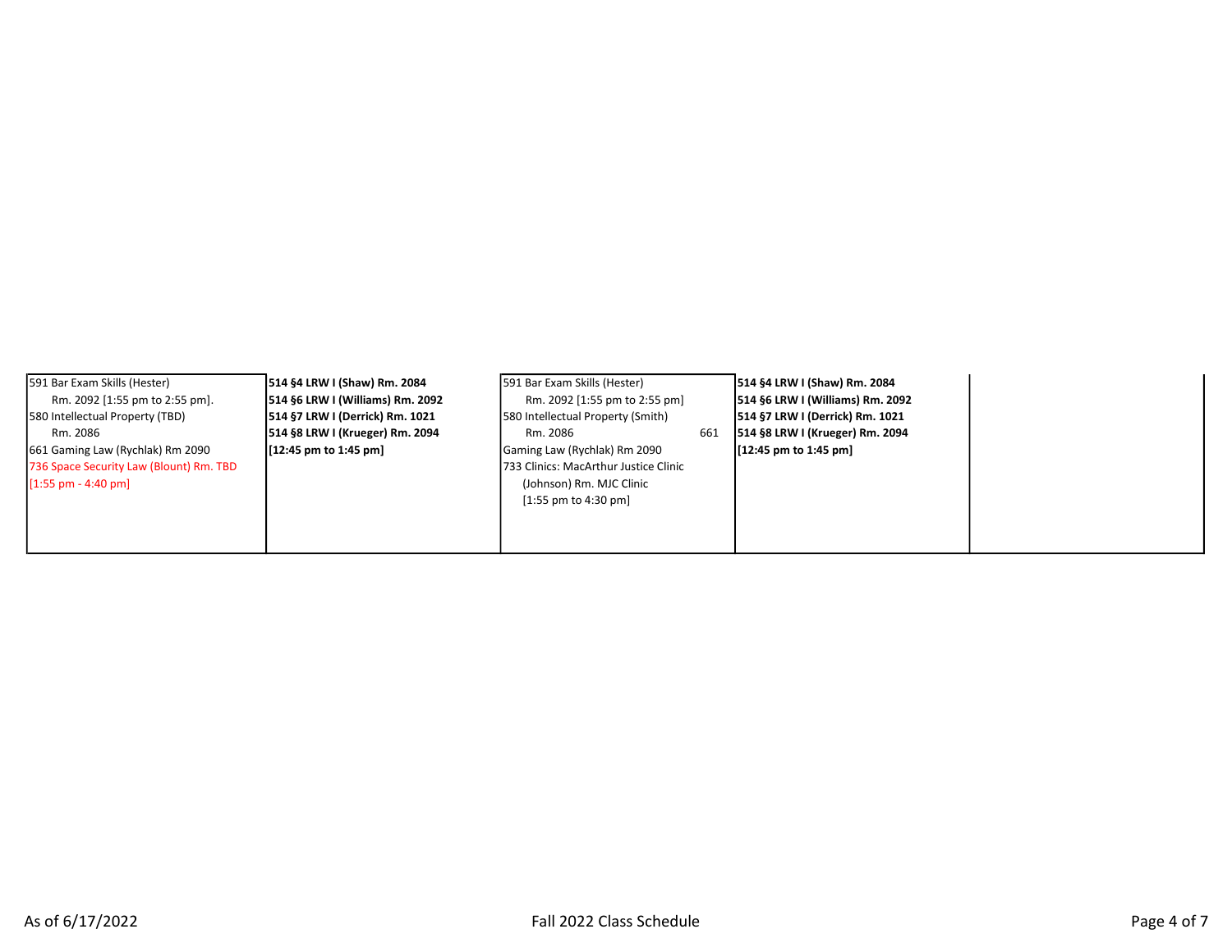|--|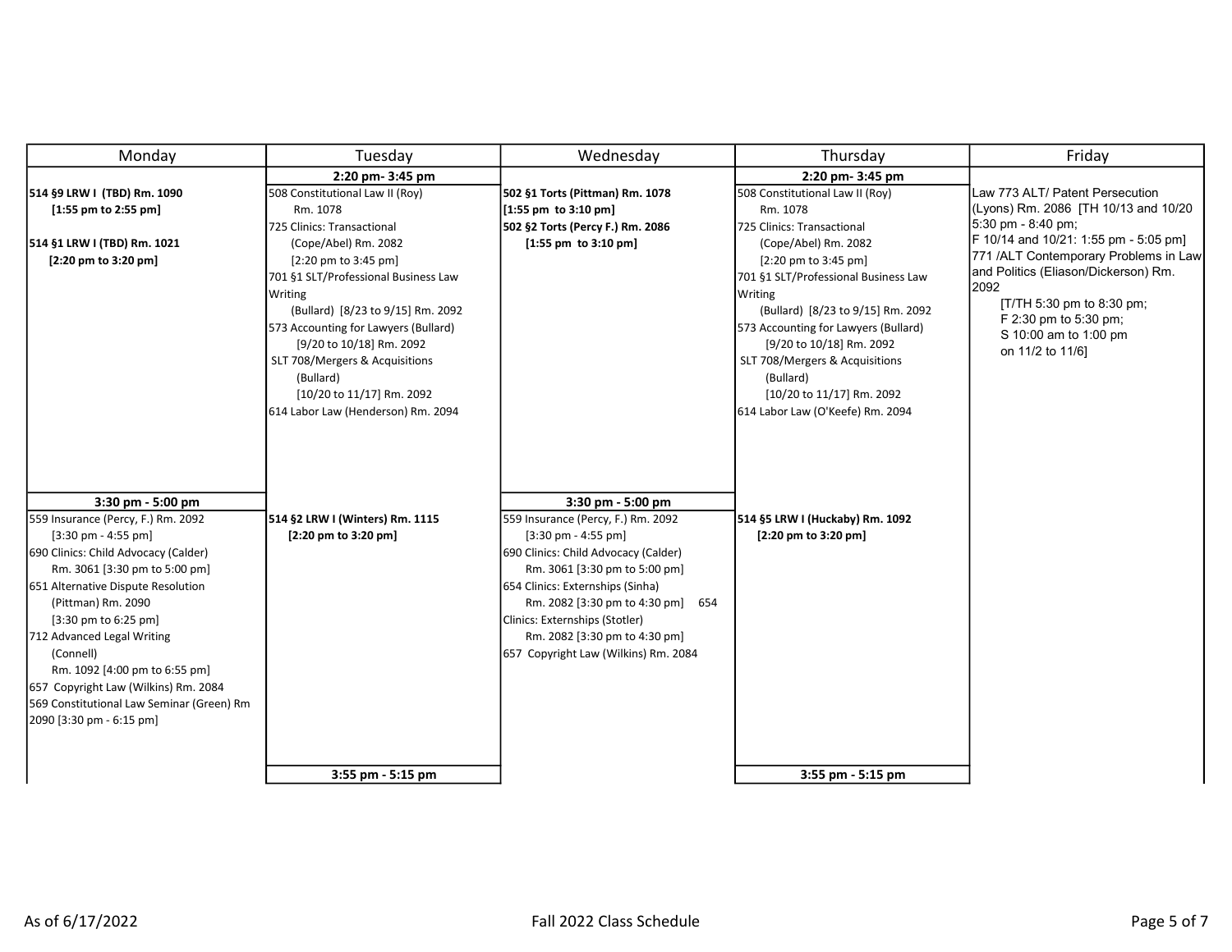| Monday                                                                                                                                                                                                                                                                                                                                                                                                                                                               | Tuesday                                                                                                                                                                                                                                                                                                                                                                                                                               | Wednesday                                                                                                                                                                                                                                                                                                                                                        | Thursday                                                                                                                                                                                                                                                                                                                                                                                                                            | Friday                                                                                                                                                                                                                                                                                                                                                |
|----------------------------------------------------------------------------------------------------------------------------------------------------------------------------------------------------------------------------------------------------------------------------------------------------------------------------------------------------------------------------------------------------------------------------------------------------------------------|---------------------------------------------------------------------------------------------------------------------------------------------------------------------------------------------------------------------------------------------------------------------------------------------------------------------------------------------------------------------------------------------------------------------------------------|------------------------------------------------------------------------------------------------------------------------------------------------------------------------------------------------------------------------------------------------------------------------------------------------------------------------------------------------------------------|-------------------------------------------------------------------------------------------------------------------------------------------------------------------------------------------------------------------------------------------------------------------------------------------------------------------------------------------------------------------------------------------------------------------------------------|-------------------------------------------------------------------------------------------------------------------------------------------------------------------------------------------------------------------------------------------------------------------------------------------------------------------------------------------------------|
| 514 §9 LRW I (TBD) Rm. 1090<br>$[1:55$ pm to 2:55 pm]<br>514 §1 LRW I (TBD) Rm. 1021<br>[2:20 pm to 3:20 pm]                                                                                                                                                                                                                                                                                                                                                         | 2:20 pm- 3:45 pm<br>508 Constitutional Law II (Roy)<br>Rm. 1078<br>725 Clinics: Transactional<br>(Cope/Abel) Rm. 2082<br>$[2:20 \text{ pm}$ to 3:45 pm]<br>701 §1 SLT/Professional Business Law<br>Writing<br>(Bullard) [8/23 to 9/15] Rm. 2092<br>573 Accounting for Lawyers (Bullard)<br>[9/20 to 10/18] Rm. 2092<br>SLT 708/Mergers & Acquisitions<br>(Bullard)<br>[10/20 to 11/17] Rm. 2092<br>614 Labor Law (Henderson) Rm. 2094 | 502 §1 Torts (Pittman) Rm. 1078<br>$[1:55 \text{ pm} \text{ to } 3:10 \text{ pm}]$<br>502 §2 Torts (Percy F.) Rm. 2086<br>$[1:55$ pm to $3:10$ pm]                                                                                                                                                                                                               | 2:20 pm- 3:45 pm<br>508 Constitutional Law II (Roy)<br>Rm. 1078<br>725 Clinics: Transactional<br>(Cope/Abel) Rm. 2082<br>$[2:20 \text{ pm}$ to 3:45 pm]<br>701 §1 SLT/Professional Business Law<br>Writing<br>(Bullard) [8/23 to 9/15] Rm. 2092<br>573 Accounting for Lawyers (Bullard)<br>[9/20 to 10/18] Rm. 2092<br>SLT 708/Mergers & Acquisitions<br>(Bullard)<br>[10/20 to 11/17] Rm. 2092<br>614 Labor Law (O'Keefe) Rm. 2094 | Law 773 ALT/ Patent Persecution<br>(Lyons) Rm. 2086 [TH 10/13 and 10/20<br>$5:30 \text{ pm} - 8:40 \text{ pm}$<br>F 10/14 and 10/21: 1:55 pm - 5:05 pm]<br>[771 /ALT Contemporary Problems in Law]<br>and Politics (Eliason/Dickerson) Rm.<br>2092<br>[T/TH 5:30 pm to 8:30 pm;<br>F 2:30 pm to 5:30 pm;<br>S 10:00 am to 1:00 pm<br>on 11/2 to 11/6] |
| 3:30 pm - 5:00 pm<br>559 Insurance (Percy, F.) Rm. 2092<br>$[3:30 \text{ pm} - 4:55 \text{ pm}]$<br>690 Clinics: Child Advocacy (Calder)<br>Rm. 3061 [3:30 pm to 5:00 pm]<br>651 Alternative Dispute Resolution<br>(Pittman) Rm. 2090<br>$[3:30 \text{ pm}$ to 6:25 pm]<br>712 Advanced Legal Writing<br>(Connell)<br>Rm. 1092 [4:00 pm to 6:55 pm]<br>657 Copyright Law (Wilkins) Rm. 2084<br>569 Constitutional Law Seminar (Green) Rm<br>2090 [3:30 pm - 6:15 pm] | 514 §2 LRW I (Winters) Rm. 1115<br>$[2:20 \text{ pm}$ to 3:20 pm]<br>3:55 pm - 5:15 pm                                                                                                                                                                                                                                                                                                                                                | 3:30 pm - 5:00 pm<br>559 Insurance (Percy, F.) Rm. 2092<br>$[3:30 \text{ pm} - 4:55 \text{ pm}]$<br>690 Clinics: Child Advocacy (Calder)<br>Rm. 3061 [3:30 pm to 5:00 pm]<br>654 Clinics: Externships (Sinha)<br>Rm. 2082 [3:30 pm to 4:30 pm]<br>654<br>Clinics: Externships (Stotler)<br>Rm. 2082 [3:30 pm to 4:30 pm]<br>657 Copyright Law (Wilkins) Rm. 2084 | 514 §5 LRW I (Huckaby) Rm. 1092<br>[2:20 pm to 3:20 pm]<br>3:55 pm - 5:15 pm                                                                                                                                                                                                                                                                                                                                                        |                                                                                                                                                                                                                                                                                                                                                       |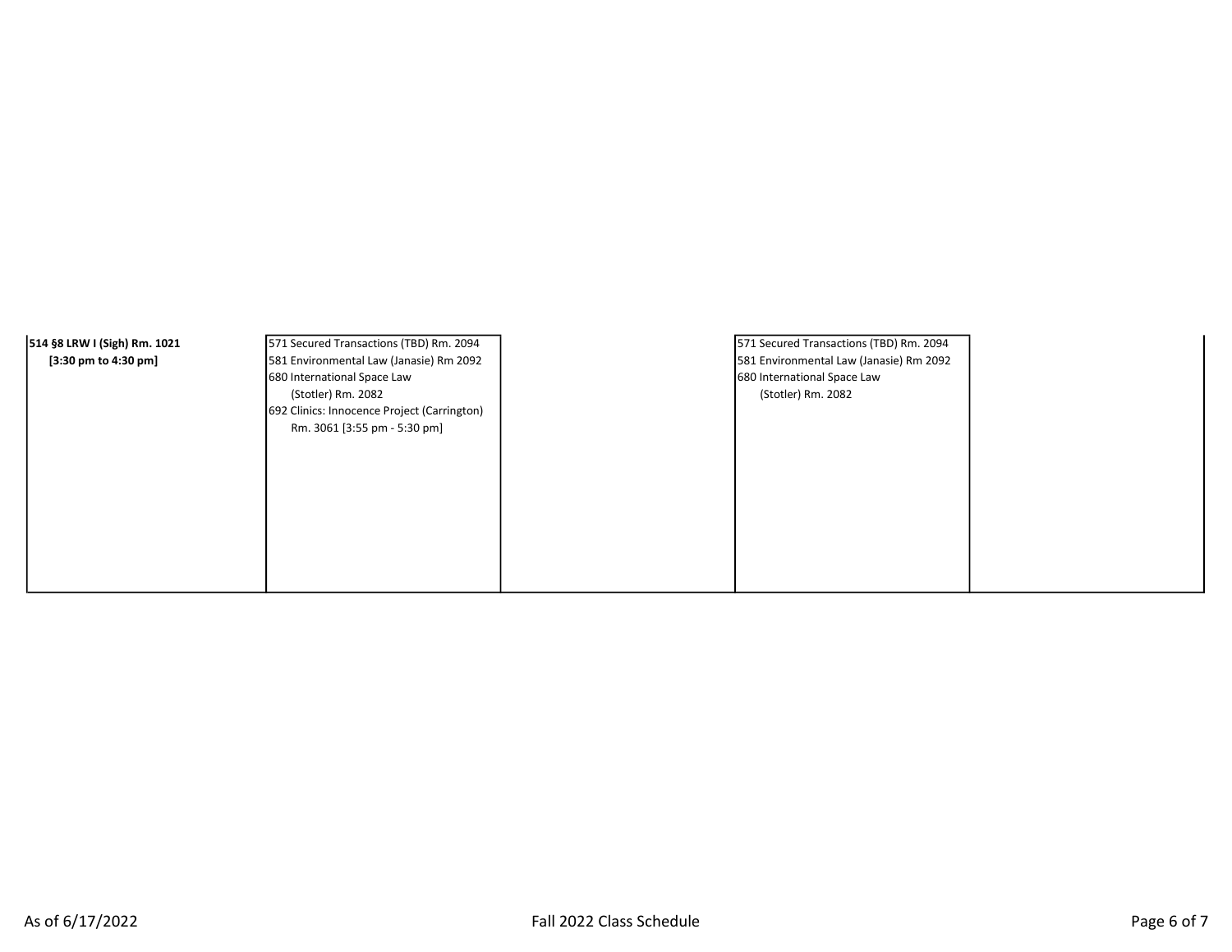| 514 §8 LRW I (Sigh) Rm. 1021 | 571 Secured Transactions (TBD) Rm. 2094     | 571 Secured Transactions (TBD) Rm. 2094 |  |
|------------------------------|---------------------------------------------|-----------------------------------------|--|
| [3:30 pm to 4:30 pm]         | 581 Environmental Law (Janasie) Rm 2092     | 581 Environmental Law (Janasie) Rm 2092 |  |
|                              | 680 International Space Law                 | 680 International Space Law             |  |
|                              | (Stotler) Rm. 2082                          | (Stotler) Rm. 2082                      |  |
|                              | 692 Clinics: Innocence Project (Carrington) |                                         |  |
|                              | Rm. 3061 [3:55 pm - 5:30 pm]                |                                         |  |
|                              |                                             |                                         |  |
|                              |                                             |                                         |  |
|                              |                                             |                                         |  |
|                              |                                             |                                         |  |
|                              |                                             |                                         |  |
|                              |                                             |                                         |  |
|                              |                                             |                                         |  |
|                              |                                             |                                         |  |
|                              |                                             |                                         |  |
|                              |                                             |                                         |  |